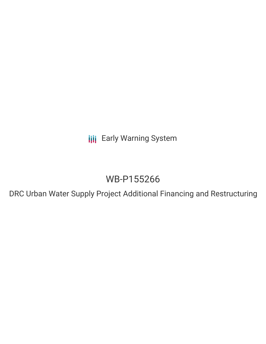**III** Early Warning System

# WB-P155266

DRC Urban Water Supply Project Additional Financing and Restructuring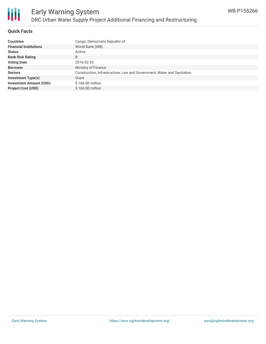

### **Quick Facts**

| <b>Countries</b>               | Congo, Democratic Republic of                                          |
|--------------------------------|------------------------------------------------------------------------|
| <b>Financial Institutions</b>  | World Bank (WB)                                                        |
| <b>Status</b>                  | Active                                                                 |
| <b>Bank Risk Rating</b>        | B                                                                      |
| <b>Voting Date</b>             | 2016-02-25                                                             |
| <b>Borrower</b>                | Ministry of Finance                                                    |
| <b>Sectors</b>                 | Construction, Infrastructure, Law and Government, Water and Sanitation |
| <b>Investment Type(s)</b>      | Grant                                                                  |
| <b>Investment Amount (USD)</b> | \$166.00 million                                                       |
| <b>Project Cost (USD)</b>      | $$166.00$ million                                                      |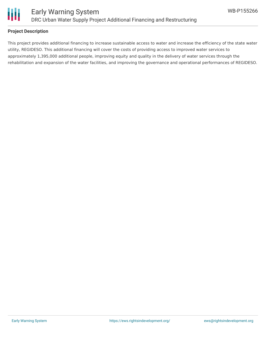

### **Project Description**

This project provides additional financing to increase sustainable access to water and increase the efficiency of the state water utility, REGIDESO. This additional financing will cover the costs of providing access to improved water services to approximately 1,395,000 additional people, improving equity and quality in the delivery of water services through the rehabilitation and expansion of the water facilities, and improving the governance and operational performances of REGIDESO.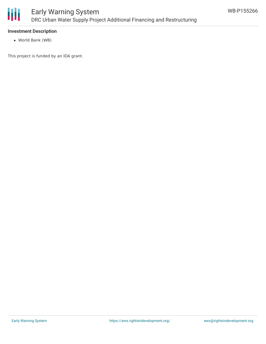

### **Investment Description**

World Bank (WB)

This project is funded by an IDA grant.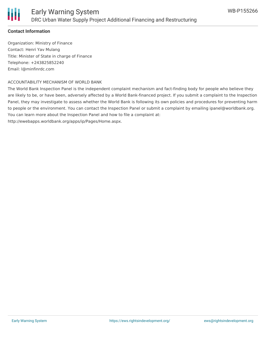# **Contact Information**

Organization: Ministry of Finance Contact: Henri Yav Mulang Title: Minister of State in charge of Finance Telephone: +243825852240 Email: l@minfinrdc.com

## ACCOUNTABILITY MECHANISM OF WORLD BANK

The World Bank Inspection Panel is the independent complaint mechanism and fact-finding body for people who believe they are likely to be, or have been, adversely affected by a World Bank-financed project. If you submit a complaint to the Inspection Panel, they may investigate to assess whether the World Bank is following its own policies and procedures for preventing harm to people or the environment. You can contact the Inspection Panel or submit a complaint by emailing ipanel@worldbank.org. You can learn more about the Inspection Panel and how to file a complaint at:

http://ewebapps.worldbank.org/apps/ip/Pages/Home.aspx.